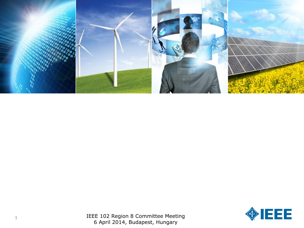

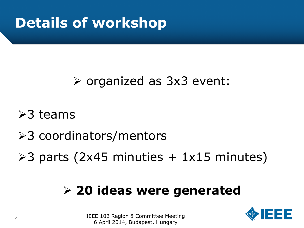# **Details of workshop**

#### organized as 3x3 event:

 $>3$  teams

- **≻3 coordinators/mentors**
- $\geq$ 3 parts (2x45 minuties + 1x15 minutes)

#### **20 ideas were generated**

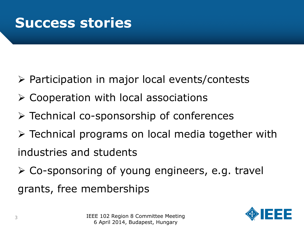#### **Success stories**

- $\triangleright$  Participation in major local events/contests
- $\triangleright$  Cooperation with local associations
- Technical co-sponsorship of conferences
- Technical programs on local media together with industries and students
- Co-sponsoring of young engineers, e.g. travel grants, free memberships

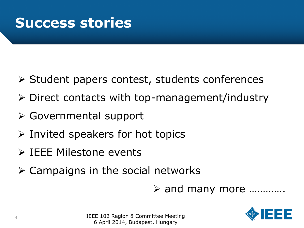#### **Success stories**

- $\triangleright$  Student papers contest, students conferences
- $\triangleright$  Direct contacts with top-management/industry
- Governmental support
- $\triangleright$  Invited speakers for hot topics
- IEEE Milestone events
- $\triangleright$  Campaigns in the social networks
	- and many more ………….

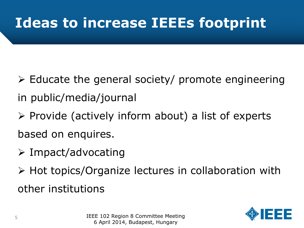- $\triangleright$  Educate the general society/ promote engineering in public/media/journal
- $\triangleright$  Provide (actively inform about) a list of experts based on enquires.
- $\triangleright$  Impact/advocating
- ▶ Hot topics/Organize lectures in collaboration with other institutions

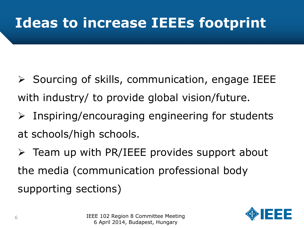- $\triangleright$  Sourcing of skills, communication, engage IEEE with industry/ to provide global vision/future.
- $\triangleright$  Inspiring/encouraging engineering for students at schools/high schools.
- $\triangleright$  Team up with PR/IEEE provides support about the media (communication professional body supporting sections)

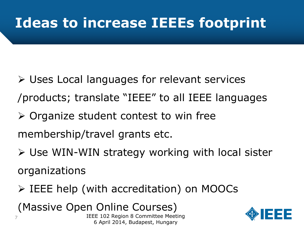- Uses Local languages for relevant services /products; translate "IEEE" to all IEEE languages
- $\triangleright$  Organize student contest to win free
- membership/travel grants etc.
- Use WIN-WIN strategy working with local sister organizations
- IEEE help (with accreditation) on MOOCs

(Massive Open Online Courses)

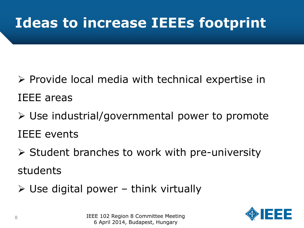- $\triangleright$  Provide local media with technical expertise in IEEE areas
- Use industrial/governmental power to promote IEEE events
- $\triangleright$  Student branches to work with pre-university students
- $\triangleright$  Use digital power think virtually

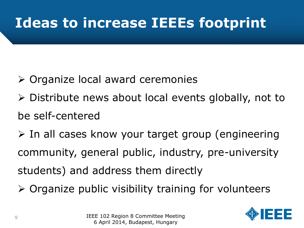- Organize local award ceremonies
- $\triangleright$  Distribute news about local events globally, not to be self-centered
- $\triangleright$  In all cases know your target group (engineering community, general public, industry, pre-university students) and address them directly
- $\triangleright$  Organize public visibility training for volunteers

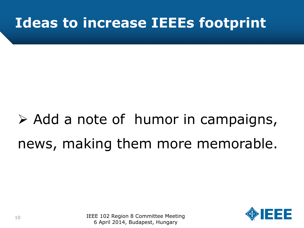# $\triangleright$  Add a note of humor in campaigns, news, making them more memorable.